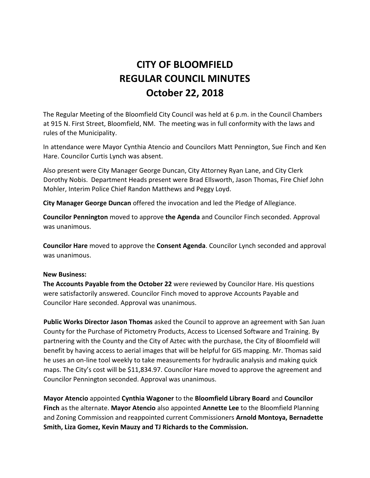# **CITY OF BLOOMFIELD REGULAR COUNCIL MINUTES October 22, 2018**

The Regular Meeting of the Bloomfield City Council was held at 6 p.m. in the Council Chambers at 915 N. First Street, Bloomfield, NM. The meeting was in full conformity with the laws and rules of the Municipality.

In attendance were Mayor Cynthia Atencio and Councilors Matt Pennington, Sue Finch and Ken Hare. Councilor Curtis Lynch was absent.

Also present were City Manager George Duncan, City Attorney Ryan Lane, and City Clerk Dorothy Nobis. Department Heads present were Brad Ellsworth, Jason Thomas, Fire Chief John Mohler, Interim Police Chief Randon Matthews and Peggy Loyd.

**City Manager George Duncan** offered the invocation and led the Pledge of Allegiance.

**Councilor Pennington** moved to approve **the Agenda** and Councilor Finch seconded. Approval was unanimous.

**Councilor Hare** moved to approve the **Consent Agenda**. Councilor Lynch seconded and approval was unanimous.

### **New Business:**

**The Accounts Payable from the October 22** were reviewed by Councilor Hare. His questions were satisfactorily answered. Councilor Finch moved to approve Accounts Payable and Councilor Hare seconded. Approval was unanimous.

**Public Works Director Jason Thomas** asked the Council to approve an agreement with San Juan County for the Purchase of Pictometry Products, Access to Licensed Software and Training. By partnering with the County and the City of Aztec with the purchase, the City of Bloomfield will benefit by having access to aerial images that will be helpful for GIS mapping. Mr. Thomas said he uses an on-line tool weekly to take measurements for hydraulic analysis and making quick maps. The City's cost will be \$11,834.97. Councilor Hare moved to approve the agreement and Councilor Pennington seconded. Approval was unanimous.

**Mayor Atencio** appointed **Cynthia Wagoner** to the **Bloomfield Library Board** and **Councilor Finch** as the alternate. **Mayor Atencio** also appointed **Annette Lee** to the Bloomfield Planning and Zoning Commission and reappointed current Commissioners **Arnold Montoya, Bernadette Smith, Liza Gomez, Kevin Mauzy and TJ Richards to the Commission.**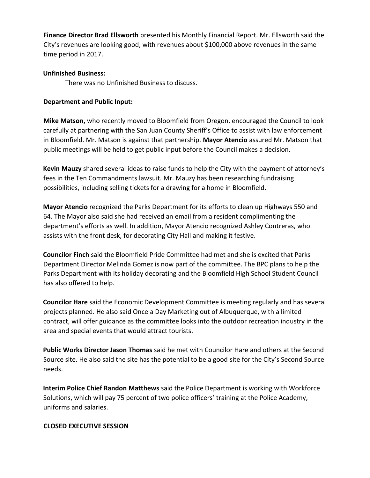**Finance Director Brad Ellsworth** presented his Monthly Financial Report. Mr. Ellsworth said the City's revenues are looking good, with revenues about \$100,000 above revenues in the same time period in 2017.

# **Unfinished Business:**

There was no Unfinished Business to discuss.

## **Department and Public Input:**

**Mike Matson,** who recently moved to Bloomfield from Oregon, encouraged the Council to look carefully at partnering with the San Juan County Sheriff's Office to assist with law enforcement in Bloomfield. Mr. Matson is against that partnership. **Mayor Atencio** assured Mr. Matson that public meetings will be held to get public input before the Council makes a decision.

**Kevin Mauzy** shared several ideas to raise funds to help the City with the payment of attorney's fees in the Ten Commandments lawsuit. Mr. Mauzy has been researching fundraising possibilities, including selling tickets for a drawing for a home in Bloomfield.

**Mayor Atencio** recognized the Parks Department for its efforts to clean up Highways 550 and 64. The Mayor also said she had received an email from a resident complimenting the department's efforts as well. In addition, Mayor Atencio recognized Ashley Contreras, who assists with the front desk, for decorating City Hall and making it festive.

**Councilor Finch** said the Bloomfield Pride Committee had met and she is excited that Parks Department Director Melinda Gomez is now part of the committee. The BPC plans to help the Parks Department with its holiday decorating and the Bloomfield High School Student Council has also offered to help.

**Councilor Hare** said the Economic Development Committee is meeting regularly and has several projects planned. He also said Once a Day Marketing out of Albuquerque, with a limited contract, will offer guidance as the committee looks into the outdoor recreation industry in the area and special events that would attract tourists.

**Public Works Director Jason Thomas** said he met with Councilor Hare and others at the Second Source site. He also said the site has the potential to be a good site for the City's Second Source needs.

**Interim Police Chief Randon Matthews** said the Police Department is working with Workforce Solutions, which will pay 75 percent of two police officers' training at the Police Academy, uniforms and salaries.

### **CLOSED EXECUTIVE SESSION**